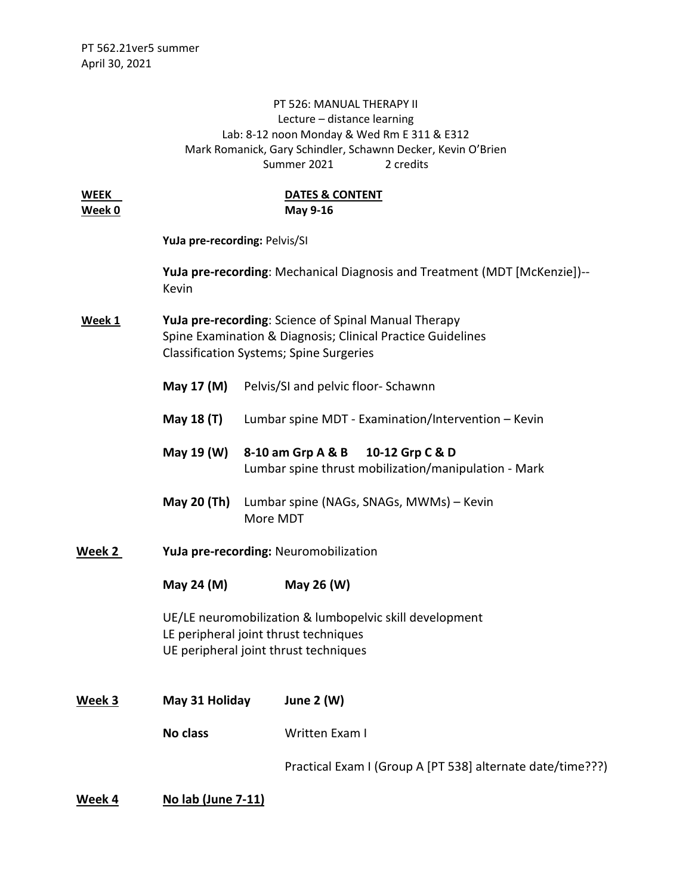## PT 526: MANUAL THERAPY II Lecture – distance learning Lab: 8-12 noon Monday & Wed Rm E 311 & E312 Mark Romanick, Gary Schindler, Schawnn Decker, Kevin O'Brien Summer 2021 2 credits

| <b>WEEK</b><br>Week 0 | <b>DATES &amp; CONTENT</b><br>May 9-16                                                                                                                                |                                       |                                                                                              |  |
|-----------------------|-----------------------------------------------------------------------------------------------------------------------------------------------------------------------|---------------------------------------|----------------------------------------------------------------------------------------------|--|
|                       | YuJa pre-recording: Pelvis/SI<br><b>YuJa pre-recording:</b> Mechanical Diagnosis and Treatment (MDT [McKenzie])--<br>Kevin                                            |                                       |                                                                                              |  |
|                       |                                                                                                                                                                       |                                       |                                                                                              |  |
| Week 1                | YuJa pre-recording: Science of Spinal Manual Therapy<br>Spine Examination & Diagnosis; Clinical Practice Guidelines<br><b>Classification Systems; Spine Surgeries</b> |                                       |                                                                                              |  |
|                       | May 17 (M)                                                                                                                                                            |                                       | Pelvis/SI and pelvic floor- Schawnn                                                          |  |
|                       | May 18 (T)                                                                                                                                                            |                                       | Lumbar spine MDT - Examination/Intervention - Kevin                                          |  |
|                       | May 19 (W)                                                                                                                                                            |                                       | 8-10 am Grp A & B<br>10-12 Grp C & D<br>Lumbar spine thrust mobilization/manipulation - Mark |  |
|                       | <b>May 20 (Th)</b>                                                                                                                                                    | More MDT                              | Lumbar spine (NAGs, SNAGs, MWMs) - Kevin                                                     |  |
| Week 2                |                                                                                                                                                                       | YuJa pre-recording: Neuromobilization |                                                                                              |  |
|                       | May 24 (M)                                                                                                                                                            |                                       | May 26 (W)                                                                                   |  |
|                       | UE/LE neuromobilization & lumbopelvic skill development<br>LE peripheral joint thrust techniques<br>UE peripheral joint thrust techniques                             |                                       |                                                                                              |  |
| Week 3                | May 31 Holiday<br><b>June 2 (W)</b>                                                                                                                                   |                                       |                                                                                              |  |
|                       | No class                                                                                                                                                              |                                       | Written Exam I                                                                               |  |
|                       |                                                                                                                                                                       |                                       | Practical Exam I (Group A [PT 538] alternate date/time???)                                   |  |
|                       |                                                                                                                                                                       |                                       |                                                                                              |  |

**Week 4 No lab (June 7-11)**